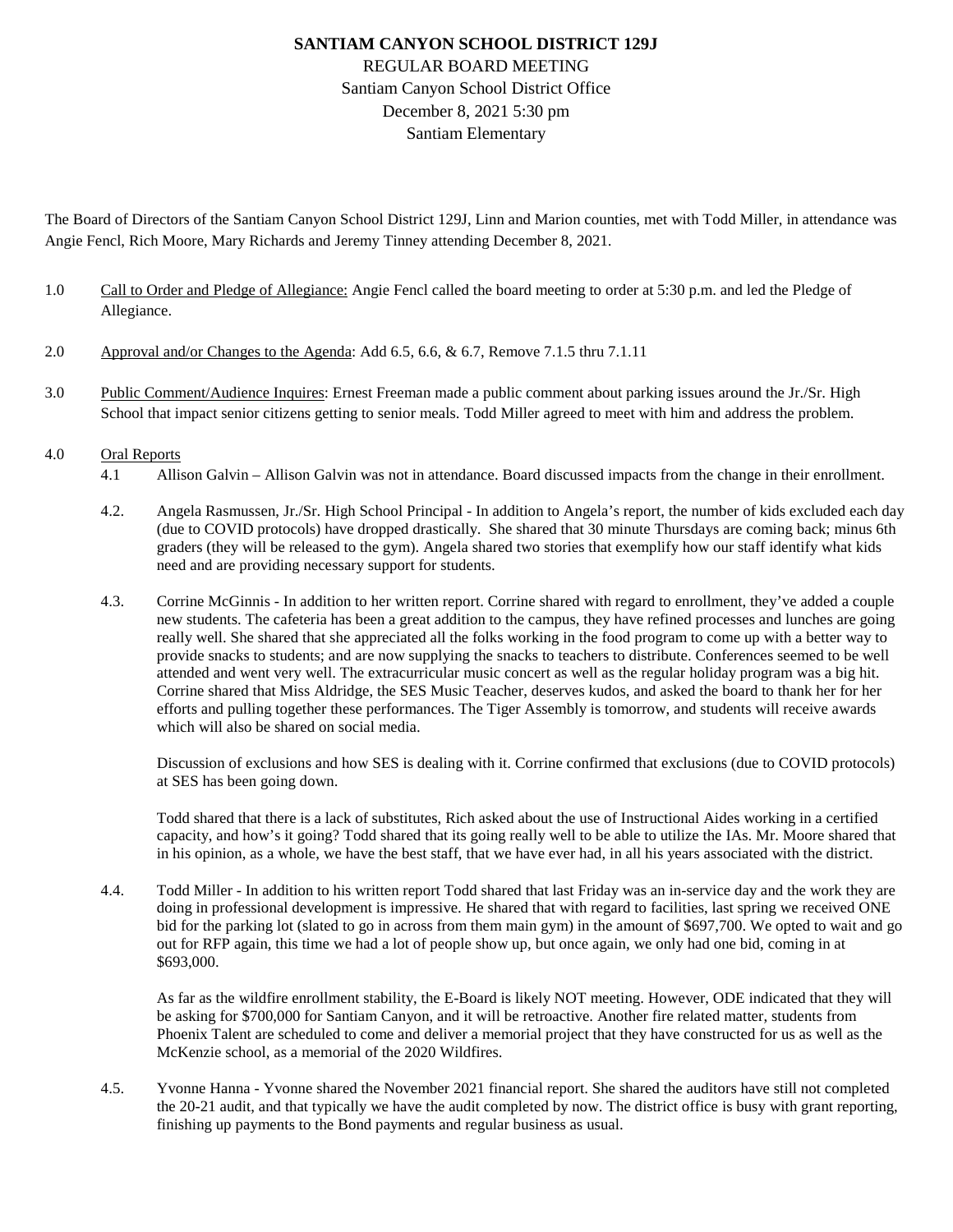# **SANTIAM CANYON SCHOOL DISTRICT 129J** REGULAR BOARD MEETING Santiam Canyon School District Office December 8, 2021 5:30 pm Santiam Elementary

The Board of Directors of the Santiam Canyon School District 129J, Linn and Marion counties, met with Todd Miller, in attendance was Angie Fencl, Rich Moore, Mary Richards and Jeremy Tinney attending December 8, 2021.

- 1.0 Call to Order and Pledge of Allegiance: Angie Fencl called the board meeting to order at 5:30 p.m. and led the Pledge of Allegiance.
- 2.0 Approval and/or Changes to the Agenda: Add 6.5, 6.6, & 6.7, Remove 7.1.5 thru 7.1.11
- 3.0 Public Comment/Audience Inquires: Ernest Freeman made a public comment about parking issues around the Jr./Sr. High School that impact senior citizens getting to senior meals. Todd Miller agreed to meet with him and address the problem.

#### 4.0 Oral Reports

- 4.1 Allison Galvin Allison Galvin was not in attendance. Board discussed impacts from the change in their enrollment.
- 4.2. Angela Rasmussen, Jr./Sr. High School Principal In addition to Angela's report, the number of kids excluded each day (due to COVID protocols) have dropped drastically. She shared that 30 minute Thursdays are coming back; minus 6th graders (they will be released to the gym). Angela shared two stories that exemplify how our staff identify what kids need and are providing necessary support for students.
- 4.3. Corrine McGinnis In addition to her written report. Corrine shared with regard to enrollment, they've added a couple new students. The cafeteria has been a great addition to the campus, they have refined processes and lunches are going really well. She shared that she appreciated all the folks working in the food program to come up with a better way to provide snacks to students; and are now supplying the snacks to teachers to distribute. Conferences seemed to be well attended and went very well. The extracurricular music concert as well as the regular holiday program was a big hit. Corrine shared that Miss Aldridge, the SES Music Teacher, deserves kudos, and asked the board to thank her for her efforts and pulling together these performances. The Tiger Assembly is tomorrow, and students will receive awards which will also be shared on social media.

Discussion of exclusions and how SES is dealing with it. Corrine confirmed that exclusions (due to COVID protocols) at SES has been going down.

Todd shared that there is a lack of substitutes, Rich asked about the use of Instructional Aides working in a certified capacity, and how's it going? Todd shared that its going really well to be able to utilize the IAs. Mr. Moore shared that in his opinion, as a whole, we have the best staff, that we have ever had, in all his years associated with the district.

4.4. Todd Miller - In addition to his written report Todd shared that last Friday was an in-service day and the work they are doing in professional development is impressive. He shared that with regard to facilities, last spring we received ONE bid for the parking lot (slated to go in across from them main gym) in the amount of \$697,700. We opted to wait and go out for RFP again, this time we had a lot of people show up, but once again, we only had one bid, coming in at \$693,000.

As far as the wildfire enrollment stability, the E-Board is likely NOT meeting. However, ODE indicated that they will be asking for \$700,000 for Santiam Canyon, and it will be retroactive. Another fire related matter, students from Phoenix Talent are scheduled to come and deliver a memorial project that they have constructed for us as well as the McKenzie school, as a memorial of the 2020 Wildfires.

4.5. Yvonne Hanna - Yvonne shared the November 2021 financial report. She shared the auditors have still not completed the 20-21 audit, and that typically we have the audit completed by now. The district office is busy with grant reporting, finishing up payments to the Bond payments and regular business as usual.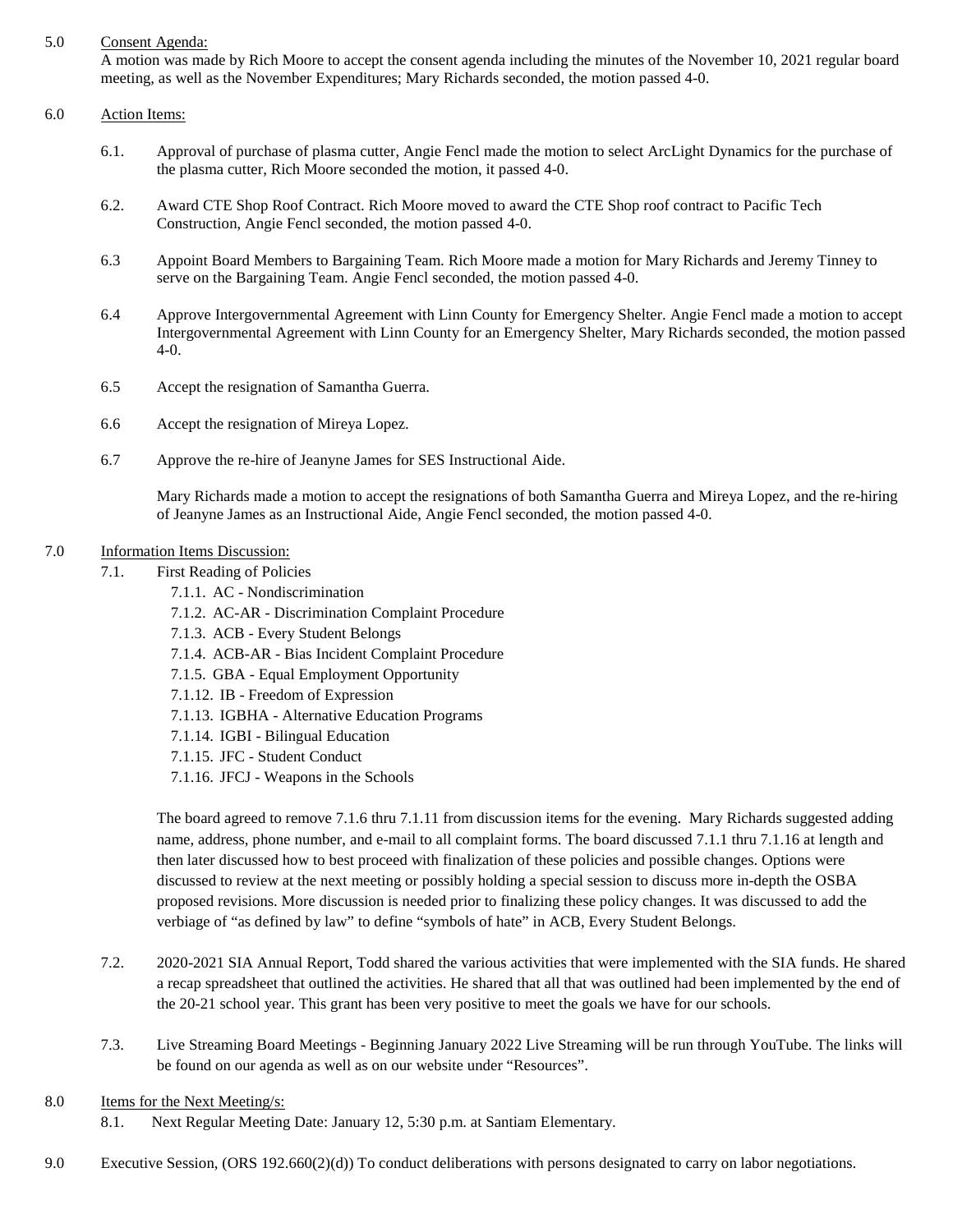### 5.0 Consent Agenda:

A motion was made by Rich Moore to accept the consent agenda including the minutes of the November 10, 2021 regular board meeting, as well as the November Expenditures; Mary Richards seconded, the motion passed 4-0.

#### 6.0 Action Items:

- 6.1. Approval of purchase of plasma cutter, Angie Fencl made the motion to select ArcLight Dynamics for the purchase of the plasma cutter, Rich Moore seconded the motion, it passed 4-0.
- 6.2. Award CTE Shop Roof Contract. Rich Moore moved to award the CTE Shop roof contract to Pacific Tech Construction, Angie Fencl seconded, the motion passed 4-0.
- 6.3 Appoint Board Members to Bargaining Team. Rich Moore made a motion for Mary Richards and Jeremy Tinney to serve on the Bargaining Team. Angie Fencl seconded, the motion passed 4-0.
- 6.4 Approve Intergovernmental Agreement with Linn County for Emergency Shelter. Angie Fencl made a motion to accept Intergovernmental Agreement with Linn County for an Emergency Shelter, Mary Richards seconded, the motion passed 4-0.
- 6.5 Accept the resignation of Samantha Guerra.
- 6.6 Accept the resignation of Mireya Lopez.
- 6.7 Approve the re-hire of Jeanyne James for SES Instructional Aide.

Mary Richards made a motion to accept the resignations of both Samantha Guerra and Mireya Lopez, and the re-hiring of Jeanyne James as an Instructional Aide, Angie Fencl seconded, the motion passed 4-0.

## 7.0 Information Items Discussion:

- 7.1. First Reading of Policies
	- 7.1.1. AC Nondiscrimination
	- 7.1.2. AC-AR Discrimination Complaint Procedure
	- 7.1.3. ACB Every Student Belongs
	- 7.1.4. ACB-AR Bias Incident Complaint Procedure
	- 7.1.5. GBA Equal Employment Opportunity
	- 7.1.12. IB Freedom of Expression
	- 7.1.13. IGBHA Alternative Education Programs
	- 7.1.14. IGBI Bilingual Education
	- 7.1.15. JFC Student Conduct
	- 7.1.16. JFCJ Weapons in the Schools

The board agreed to remove 7.1.6 thru 7.1.11 from discussion items for the evening. Mary Richards suggested adding name, address, phone number, and e-mail to all complaint forms. The board discussed 7.1.1 thru 7.1.16 at length and then later discussed how to best proceed with finalization of these policies and possible changes. Options were discussed to review at the next meeting or possibly holding a special session to discuss more in-depth the OSBA proposed revisions. More discussion is needed prior to finalizing these policy changes. It was discussed to add the verbiage of "as defined by law" to define "symbols of hate" in ACB, Every Student Belongs.

- 7.2. 2020-2021 SIA Annual Report, Todd shared the various activities that were implemented with the SIA funds. He shared a recap spreadsheet that outlined the activities. He shared that all that was outlined had been implemented by the end of the 20-21 school year. This grant has been very positive to meet the goals we have for our schools.
- 7.3. Live Streaming Board Meetings Beginning January 2022 Live Streaming will be run through YouTube. The links will be found on our agenda as well as on our website under "Resources".
- 8.0 Items for the Next Meeting/s:
	- 8.1. Next Regular Meeting Date: January 12, 5:30 p.m. at Santiam Elementary.
- 9.0 Executive Session, (ORS 192.660(2)(d)) To conduct deliberations with persons designated to carry on labor negotiations.